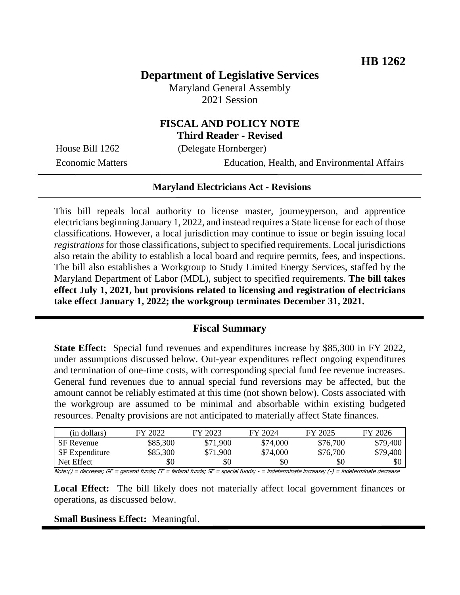# **Department of Legislative Services**

Maryland General Assembly 2021 Session

## **FISCAL AND POLICY NOTE Third Reader - Revised**

House Bill 1262 (Delegate Hornberger)

Economic Matters Education, Health, and Environmental Affairs

#### **Maryland Electricians Act - Revisions**

This bill repeals local authority to license master, journeyperson, and apprentice electricians beginning January 1, 2022, and instead requires a State license for each of those classifications. However, a local jurisdiction may continue to issue or begin issuing local *registrations* for those classifications, subject to specified requirements. Local jurisdictions also retain the ability to establish a local board and require permits, fees, and inspections. The bill also establishes a Workgroup to Study Limited Energy Services, staffed by the Maryland Department of Labor (MDL), subject to specified requirements. **The bill takes effect July 1, 2021, but provisions related to licensing and registration of electricians take effect January 1, 2022; the workgroup terminates December 31, 2021.**

#### **Fiscal Summary**

**State Effect:** Special fund revenues and expenditures increase by \$85,300 in FY 2022, under assumptions discussed below. Out-year expenditures reflect ongoing expenditures and termination of one-time costs, with corresponding special fund fee revenue increases. General fund revenues due to annual special fund reversions may be affected, but the amount cannot be reliably estimated at this time (not shown below). Costs associated with the workgroup are assumed to be minimal and absorbable within existing budgeted resources. Penalty provisions are not anticipated to materially affect State finances.

| (in dollars)          | FY 2022  | FY 2023  | FY 2024  | FY 2025  | FY 2026  |
|-----------------------|----------|----------|----------|----------|----------|
| <b>SF</b> Revenue     | \$85,300 | \$71,900 | \$74,000 | \$76,700 | \$79,400 |
| <b>SF</b> Expenditure | \$85,300 | \$71,900 | \$74,000 | \$76,700 | \$79,400 |
| Net Effect            | \$0      | \$0      | \$0      | \$0      | \$0      |

Note:() = decrease; GF = general funds; FF = federal funds; SF = special funds; - = indeterminate increase; (-) = indeterminate decrease

**Local Effect:** The bill likely does not materially affect local government finances or operations, as discussed below.

#### **Small Business Effect:** Meaningful.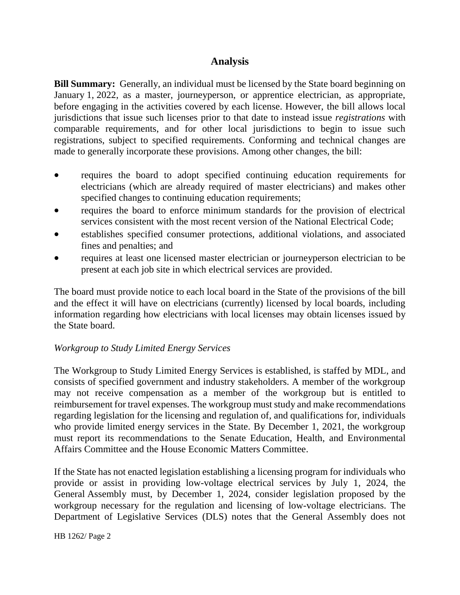# **Analysis**

**Bill Summary:** Generally, an individual must be licensed by the State board beginning on January 1, 2022, as a master, journeyperson, or apprentice electrician, as appropriate, before engaging in the activities covered by each license. However, the bill allows local jurisdictions that issue such licenses prior to that date to instead issue *registrations* with comparable requirements, and for other local jurisdictions to begin to issue such registrations, subject to specified requirements. Conforming and technical changes are made to generally incorporate these provisions. Among other changes, the bill:

- requires the board to adopt specified continuing education requirements for electricians (which are already required of master electricians) and makes other specified changes to continuing education requirements;
- requires the board to enforce minimum standards for the provision of electrical services consistent with the most recent version of the National Electrical Code;
- establishes specified consumer protections, additional violations, and associated fines and penalties; and
- requires at least one licensed master electrician or journeyperson electrician to be present at each job site in which electrical services are provided.

The board must provide notice to each local board in the State of the provisions of the bill and the effect it will have on electricians (currently) licensed by local boards, including information regarding how electricians with local licenses may obtain licenses issued by the State board.

## *Workgroup to Study Limited Energy Services*

The Workgroup to Study Limited Energy Services is established, is staffed by MDL, and consists of specified government and industry stakeholders. A member of the workgroup may not receive compensation as a member of the workgroup but is entitled to reimbursement for travel expenses. The workgroup must study and make recommendations regarding legislation for the licensing and regulation of, and qualifications for, individuals who provide limited energy services in the State. By December 1, 2021, the workgroup must report its recommendations to the Senate Education, Health, and Environmental Affairs Committee and the House Economic Matters Committee.

If the State has not enacted legislation establishing a licensing program for individuals who provide or assist in providing low-voltage electrical services by July 1, 2024, the General Assembly must, by December 1, 2024, consider legislation proposed by the workgroup necessary for the regulation and licensing of low-voltage electricians. The Department of Legislative Services (DLS) notes that the General Assembly does not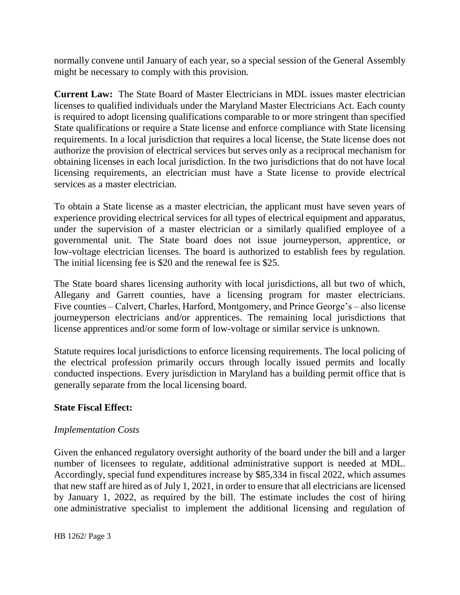normally convene until January of each year, so a special session of the General Assembly might be necessary to comply with this provision.

**Current Law:** The State Board of Master Electricians in MDL issues master electrician licenses to qualified individuals under the Maryland Master Electricians Act. Each county is required to adopt licensing qualifications comparable to or more stringent than specified State qualifications or require a State license and enforce compliance with State licensing requirements. In a local jurisdiction that requires a local license, the State license does not authorize the provision of electrical services but serves only as a reciprocal mechanism for obtaining licenses in each local jurisdiction. In the two jurisdictions that do not have local licensing requirements, an electrician must have a State license to provide electrical services as a master electrician.

To obtain a State license as a master electrician, the applicant must have seven years of experience providing electrical services for all types of electrical equipment and apparatus, under the supervision of a master electrician or a similarly qualified employee of a governmental unit. The State board does not issue journeyperson, apprentice, or low-voltage electrician licenses. The board is authorized to establish fees by regulation. The initial licensing fee is \$20 and the renewal fee is \$25.

The State board shares licensing authority with local jurisdictions, all but two of which, Allegany and Garrett counties, have a licensing program for master electricians. Five counties – Calvert, Charles, Harford, Montgomery, and Prince George's – also license journeyperson electricians and/or apprentices. The remaining local jurisdictions that license apprentices and/or some form of low-voltage or similar service is unknown.

Statute requires local jurisdictions to enforce licensing requirements. The local policing of the electrical profession primarily occurs through locally issued permits and locally conducted inspections. Every jurisdiction in Maryland has a building permit office that is generally separate from the local licensing board.

## **State Fiscal Effect:**

## *Implementation Costs*

Given the enhanced regulatory oversight authority of the board under the bill and a larger number of licensees to regulate, additional administrative support is needed at MDL. Accordingly, special fund expenditures increase by \$85,334 in fiscal 2022, which assumes that new staff are hired as of July 1, 2021, in order to ensure that all electricians are licensed by January 1, 2022, as required by the bill. The estimate includes the cost of hiring one administrative specialist to implement the additional licensing and regulation of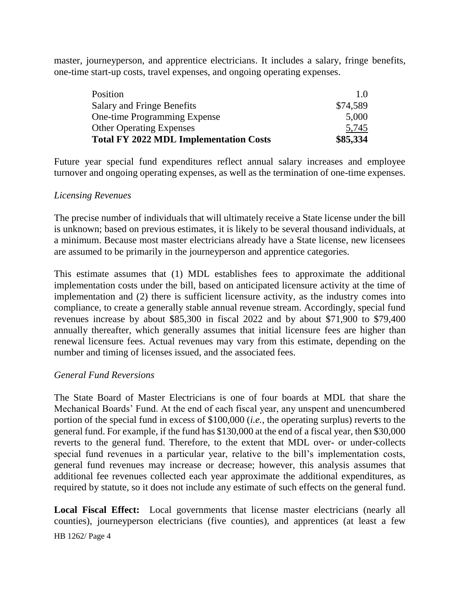master, journeyperson, and apprentice electricians. It includes a salary, fringe benefits, one-time start-up costs, travel expenses, and ongoing operating expenses.

| 5,745    |
|----------|
|          |
| 5,000    |
| \$74,589 |
| 1.0      |
|          |

Future year special fund expenditures reflect annual salary increases and employee turnover and ongoing operating expenses, as well as the termination of one-time expenses.

## *Licensing Revenues*

The precise number of individuals that will ultimately receive a State license under the bill is unknown; based on previous estimates, it is likely to be several thousand individuals, at a minimum. Because most master electricians already have a State license, new licensees are assumed to be primarily in the journeyperson and apprentice categories.

This estimate assumes that (1) MDL establishes fees to approximate the additional implementation costs under the bill, based on anticipated licensure activity at the time of implementation and (2) there is sufficient licensure activity, as the industry comes into compliance, to create a generally stable annual revenue stream. Accordingly, special fund revenues increase by about \$85,300 in fiscal 2022 and by about \$71,900 to \$79,400 annually thereafter, which generally assumes that initial licensure fees are higher than renewal licensure fees. Actual revenues may vary from this estimate, depending on the number and timing of licenses issued, and the associated fees.

#### *General Fund Reversions*

The State Board of Master Electricians is one of four boards at MDL that share the Mechanical Boards' Fund. At the end of each fiscal year, any unspent and unencumbered portion of the special fund in excess of \$100,000 (*i.e.*, the operating surplus) reverts to the general fund. For example, if the fund has \$130,000 at the end of a fiscal year, then \$30,000 reverts to the general fund. Therefore, to the extent that MDL over- or under-collects special fund revenues in a particular year, relative to the bill's implementation costs, general fund revenues may increase or decrease; however, this analysis assumes that additional fee revenues collected each year approximate the additional expenditures, as required by statute, so it does not include any estimate of such effects on the general fund.

HB 1262/ Page 4 **Local Fiscal Effect:** Local governments that license master electricians (nearly all counties), journeyperson electricians (five counties), and apprentices (at least a few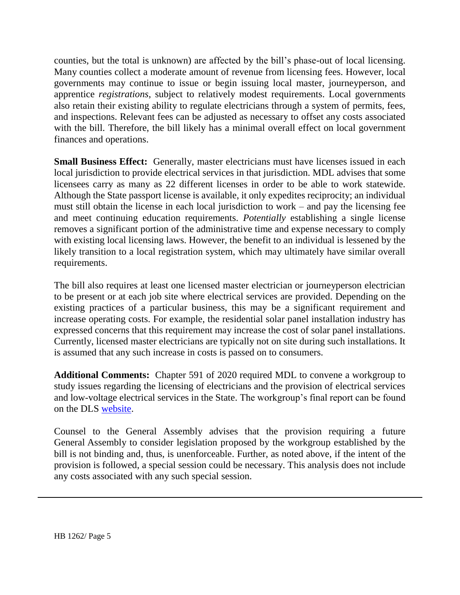counties, but the total is unknown) are affected by the bill's phase-out of local licensing. Many counties collect a moderate amount of revenue from licensing fees. However, local governments may continue to issue or begin issuing local master, journeyperson, and apprentice *registrations*, subject to relatively modest requirements. Local governments also retain their existing ability to regulate electricians through a system of permits, fees, and inspections. Relevant fees can be adjusted as necessary to offset any costs associated with the bill. Therefore, the bill likely has a minimal overall effect on local government finances and operations.

**Small Business Effect:** Generally, master electricians must have licenses issued in each local jurisdiction to provide electrical services in that jurisdiction. MDL advises that some licensees carry as many as 22 different licenses in order to be able to work statewide. Although the State passport license is available, it only expedites reciprocity; an individual must still obtain the license in each local jurisdiction to work – and pay the licensing fee and meet continuing education requirements. *Potentially* establishing a single license removes a significant portion of the administrative time and expense necessary to comply with existing local licensing laws. However, the benefit to an individual is lessened by the likely transition to a local registration system, which may ultimately have similar overall requirements.

The bill also requires at least one licensed master electrician or journeyperson electrician to be present or at each job site where electrical services are provided. Depending on the existing practices of a particular business, this may be a significant requirement and increase operating costs. For example, the residential solar panel installation industry has expressed concerns that this requirement may increase the cost of solar panel installations. Currently, licensed master electricians are typically not on site during such installations. It is assumed that any such increase in costs is passed on to consumers.

**Additional Comments:** Chapter 591 of 2020 required MDL to convene a workgroup to study issues regarding the licensing of electricians and the provision of electrical services and low-voltage electrical services in the State. The workgroup's final report can be found on the DLS [website.](http://dlslibrary.state.md.us/publications/Exec/MDL/SB994Ch591(2020)_2020.pdf)

Counsel to the General Assembly advises that the provision requiring a future General Assembly to consider legislation proposed by the workgroup established by the bill is not binding and, thus, is unenforceable. Further, as noted above, if the intent of the provision is followed, a special session could be necessary. This analysis does not include any costs associated with any such special session.